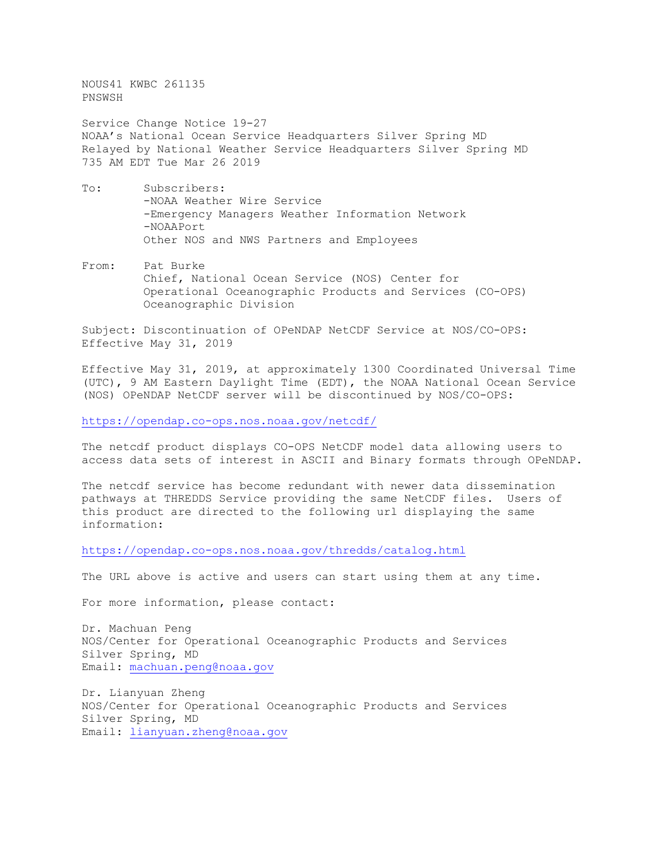NOUS41 KWBC 261135 PNSWSH

Service Change Notice 19-27 NOAA's National Ocean Service Headquarters Silver Spring MD Relayed by National Weather Service Headquarters Silver Spring MD 735 AM EDT Tue Mar 26 2019

- To: Subscribers: -NOAA Weather Wire Service -Emergency Managers Weather Information Network -NOAAPort Other NOS and NWS Partners and Employees
- From: Pat Burke Chief, National Ocean Service (NOS) Center for Operational Oceanographic Products and Services (CO-OPS) Oceanographic Division

Subject: Discontinuation of OPeNDAP NetCDF Service at NOS/CO-OPS: Effective May 31, 2019

Effective May 31, 2019, at approximately 1300 Coordinated Universal Time (UTC), 9 AM Eastern Daylight Time (EDT), the NOAA National Ocean Service (NOS) OPeNDAP NetCDF server will be discontinued by NOS/CO-OPS:

<https://opendap.co-ops.nos.noaa.gov/netcdf/>

The netcdf product displays CO-OPS NetCDF model data allowing users to access data sets of interest in ASCII and Binary formats through OPeNDAP.

The netcdf service has become redundant with newer data dissemination pathways at THREDDS Service providing the same NetCDF files. Users of this product are directed to the following url displaying the same information:

<https://opendap.co-ops.nos.noaa.gov/thredds/catalog.html>

The URL above is active and users can start using them at any time.

For more information, please contact:

Dr. Machuan Peng NOS/Center for Operational Oceanographic Products and Services Silver Spring, MD Email: [machuan.peng@noaa.gov](mailto:machuan.peng@noaa.gov)

Dr. Lianyuan Zheng NOS/Center for Operational Oceanographic Products and Services Silver Spring, MD Email: [lianyuan.zheng@noaa.gov](mailto:lianyuan.zheng@noaa.gov)